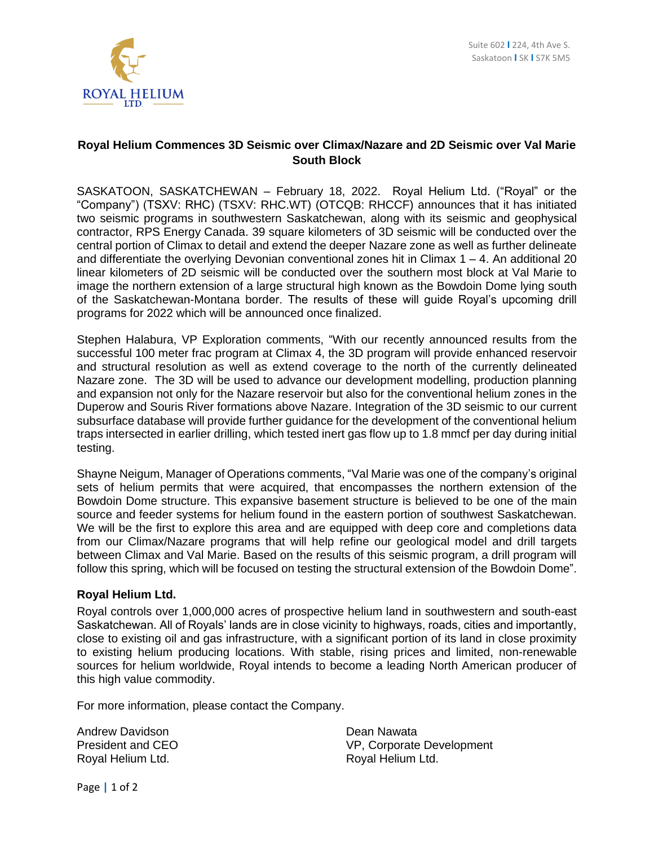

## **Royal Helium Commences 3D Seismic over Climax/Nazare and 2D Seismic over Val Marie South Block**

SASKATOON, SASKATCHEWAN – February 18, 2022. Royal Helium Ltd. ("Royal" or the "Company") (TSXV: RHC) (TSXV: RHC.WT) (OTCQB: RHCCF) announces that it has initiated two seismic programs in southwestern Saskatchewan, along with its seismic and geophysical contractor, RPS Energy Canada. 39 square kilometers of 3D seismic will be conducted over the central portion of Climax to detail and extend the deeper Nazare zone as well as further delineate and differentiate the overlying Devonian conventional zones hit in Climax  $1 - 4$ . An additional 20 linear kilometers of 2D seismic will be conducted over the southern most block at Val Marie to image the northern extension of a large structural high known as the Bowdoin Dome lying south of the Saskatchewan-Montana border. The results of these will guide Royal's upcoming drill programs for 2022 which will be announced once finalized.

Stephen Halabura, VP Exploration comments, "With our recently announced results from the successful 100 meter frac program at Climax 4, the 3D program will provide enhanced reservoir and structural resolution as well as extend coverage to the north of the currently delineated Nazare zone. The 3D will be used to advance our development modelling, production planning and expansion not only for the Nazare reservoir but also for the conventional helium zones in the Duperow and Souris River formations above Nazare. Integration of the 3D seismic to our current subsurface database will provide further guidance for the development of the conventional helium traps intersected in earlier drilling, which tested inert gas flow up to 1.8 mmcf per day during initial testing.

Shayne Neigum, Manager of Operations comments, "Val Marie was one of the company's original sets of helium permits that were acquired, that encompasses the northern extension of the Bowdoin Dome structure. This expansive basement structure is believed to be one of the main source and feeder systems for helium found in the eastern portion of southwest Saskatchewan. We will be the first to explore this area and are equipped with deep core and completions data from our Climax/Nazare programs that will help refine our geological model and drill targets between Climax and Val Marie. Based on the results of this seismic program, a drill program will follow this spring, which will be focused on testing the structural extension of the Bowdoin Dome".

## **Royal Helium Ltd.**

Royal controls over 1,000,000 acres of prospective helium land in southwestern and south-east Saskatchewan. All of Royals' lands are in close vicinity to highways, roads, cities and importantly, close to existing oil and gas infrastructure, with a significant portion of its land in close proximity to existing helium producing locations. With stable, rising prices and limited, non-renewable sources for helium worldwide, Royal intends to become a leading North American producer of this high value commodity.

For more information, please contact the Company.

Andrew Davidson **Dean Nawata** Royal Helium Ltd.

President and CEO VP, Corporate Development<br>
Royal Helium Ltd. Sover a Royal Helium Ltd.

Page **|** 1 of 2